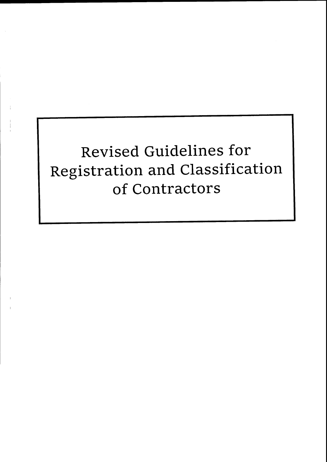# Revised Guidelines for Registration and Classification of Contractors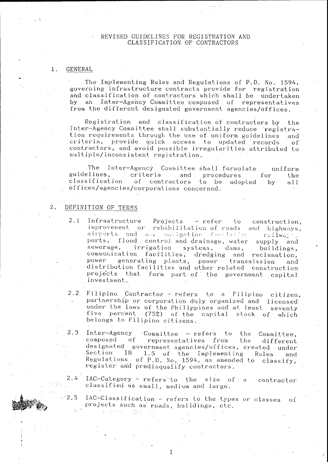# REVISED GUIDELINES FOR REGISTRATION AND CLASSIFICATION OF CONTRACTORS

#### $1$  . **GENERAL**

The Implementing Rules and Regulations of P.D. No. 1594, governing infrastructure contracts provide for registration and classification of contractors which shall be undertaken by an Inter-Agency Committee composed of representatives from the different designated government agencies/offices.

Registration and classification of contractors by the Inter-Agency Committee shall substantially reduce registration requirements through the use of uniform guidelines and criteria, provide quick access to updated records  $\alpha$ f contractors, and avoid possible irregularities attributed to multiple/inconsistent registration.

The Inter-Agency Committee shall formulate uniform criteria guidelines, and and procedures for the classification of contractors to be adopted  $by$  $a11$ offices/agencies/corporations concerned.

#### DEFINITION OF TERMS  $2<sub>1</sub>$

 $\cdot$  2.5

- $2.1$ Infrastructure Projects - refer to construction, improvement or rehabilitation of roads and highways, airports and air uavigation feedbilder railwayn. ports, flood control and drainage, water supply and sewerage, irrigation systems, dams, buildings, communication facilities, dredging and reclamation, power generating plants, power transmission and<br>distribution facilities and other related construction projects that form part of the government capital investment.
- 2.2 Filipino Contractor - refers to a Filipino citizen, partnership or corporation duly organized and licensed under the laws of the Philippines and at least seventy five percent (75%) of the capital stock of which belongs to Filipino citizens.
- $2.3$ Inter-Agency Committee - refers to the Committee. composed  $\circ$  f representatives from the different designated government agencies/offices, created under  $IB$ Section 1.5 of the Implementing Rules and Regulations of P.D. No. 1594, as amended to classify, register and predisqualify contractors.

 $2.4 -$ IAC-Category - refers to the size of a contractor classified as small, medium and large.

IAC-Classification - refers to the types or classes οť projects such as roads, buildings, etc.  $\sim 100$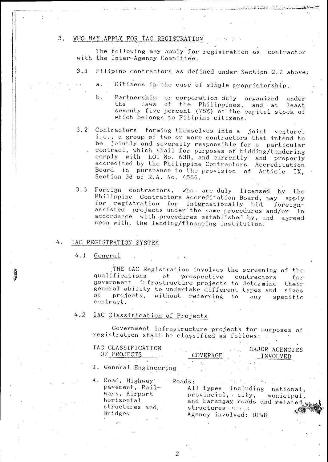#### WHO MAY APPLY FOR IAC REGISTRATION 3.

The following may apply for registration as contractor with the Inter-Agency Committee.

- $3.1$ Filipino contractors as defined under Section 2.2 above:
	- Citizens in the case of single proprietorship.  $\ddot{a}$ .
	- Partnership or corporation duly organized under  $b.$ laws of the Philippines, and at the least seventy five percent (75%) of the capital stock of which belongs to Filipino citizens.
- Contractors forming themselves into a joint venture,  $3.2$ i.e., a group of two or more contractors that intend to be jointly and severally responsible for a particular contract, which shall for purposes of bidding/tendering comply with LOI No. 630, and currently and properly accredited by the Philippine Contractors Accreditation Board in pursuance to the provision of Article IX. Section 38 of R.A. No. 4566.
- $3.3$ Foreign contractors, who are duly licensed by the Philippine Contractors Accreditation Board, may apply for registration for internationally bid foreignassisted projects under the same procedures and/or in accordance with procedures established by, and agreed upon with, the lending/financing institution.

#### $\overline{a}$ IAC REGISTRATION SYSTEM

#### $4.1$ General

THE IAC Registration involves the screening of the qualifications of prospective contractors for government infrastructure projects to determine their general ability to undertake different types and sizes of projects, without referring  $t$ o any specific contract.

#### $4.2$ IAC Classification of Projects

Government infrastructure projects for purposes of registration shall be classified as follows:

| IAC CLASSIFICATION<br>UE.<br>- PROJECTS | COVERAGE | MAJOR AGENCIES<br>NVOI VED |
|-----------------------------------------|----------|----------------------------|
| General Engineering                     |          | $\ddots$                   |

2

A. Road, Highway Roads: pavement, Railways, Airport horizontal. structures and **Bridges** 

All types including national, provincial, city, municipal, and barangay roads and related structures des gr Agency involved: DPWH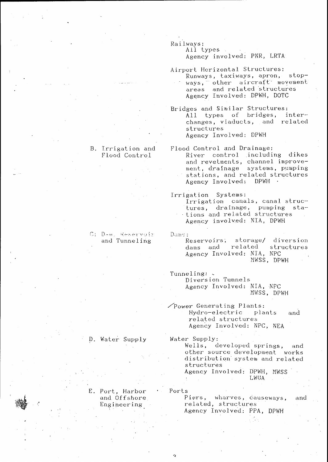Railways:

All types. Agency involved: PNR, LRTA

Airport Horizontal Structures: Runways, taxiways, apron, stopways, other aircraft movement Agency Involved: DPWH, DOTC

Bridges and Similar Structures: All types of bridges, interchanges, viaducts, and related structures Agency Involved: DPWH

Flood Control and Drainage: River control including dikes and revetments, channel improvement, drainage systems, pumping stations, and related structures Agency Involved: DPWH .

Irrigation Systems: Irrigation canals, canal struc-

tures, drainage, pumping stations and related structures Agency involved: NIA, DPWH

Dume:

Reservoirs; storage/ diversion dams and related structures Agency Involved: NIA, NPC MWSS, DPWH

Tunneling: . Diversion Tunnels Agency Involved: NIA, NPC MWSS, DPWH

Power Generating Plants: Hydro-electric plants and related structures Agency Involved: NPC, NEA

Water Supply: Wells, developed springs, and other source development works distribution system and related structures Agency Involved: DPWH, MWSS LWUA

Ports Piers, wharves, causeways, related, structures

D. Water Supply

B. Irrigation and Flood Control

# C: Dom. Reservoir and Tunneling

E. Port, Harbor and Offshore Engineering

and

Agency Involved: PPA, DPWH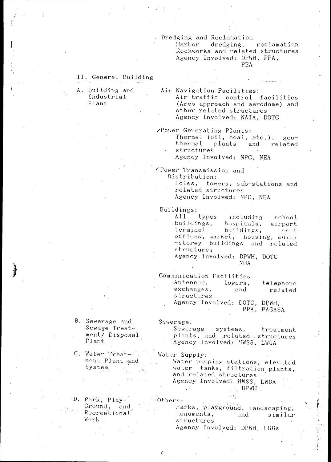# Dredging and Reclamation

Harbor dredging, reclamation Rockworks and related structures Agency Involved: DPWH, PPA, PEA

# II. General Building

A. Building and Industrial Plant

Air Navigation Facilities: Air traffic control facilities (Area approach and aerodome) and other related structures Agency Involved: NAIA, DOTC

**Power Generating Plants:** 

Thermal (oil, coal, etc.), geothermal plants and related structures

Agency Involved: NPC, NEA

Power Transmission and Distribution:

> Poles, towers, sub-stations and related structures

Agency Involved: NPC, NEA

Buildings:

 $A11$ types including school buildings, hospitals, airport terminal buildings,  $r_2c_1\circ f$ offices, market, housing, multi -storey buildings and related structures

Agency Involved: DPWH, DOTC NHA

Communication Facilities

| Antennae,                    |  | towers, | telephone  |  |
|------------------------------|--|---------|------------|--|
| exchanges.                   |  | and     | related    |  |
| structures                   |  |         |            |  |
| Agency Involved: DOTC, DPWH, |  |         |            |  |
|                              |  |         | PPA PAGASA |  |

## Sewerage:

- B. Sewerage and Sewage Treat-Sewerage systems, treatment ment/ Disposal plants, and related structures Agency Involved: MWSS, LWUA
- C. Water Treat-Water Supply: ment Plant and Water pumping stations, elevated water tanks, filtration plants,  $System$ and related structures

Agency Involved: MWSS, LWUA DPWH

Others:

D. Park, Play-Ground, and Recreational Work.

Plant

Parks, playground, landscaping, monuments, and  $\Delta \sim 1$ similar structures Agency Involved: DPWH, LGUs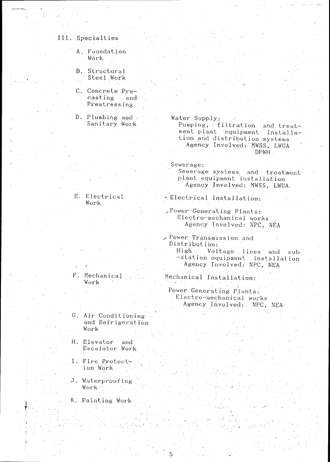# III. Specialties

- A. Foundation Work
- B. Structural Steel Work
- C. Concrete Precasting and Prestressing
- D. Plumbing and Sanitary Work

E. Electrical

Work

Water Supply: Pumping, filtration and treatment plant equipment installation and distribution systems Agency Involved: MWSS, LWUA DPWH.

Sewerage:

Sewerage systems and treatment plant equipment installation Agency Involved: MWSS, LWUA.

Electrical Installation:

Power Generating Plants: Electro-mechanical works Agency Involved: NPC, NEA

- Power Transmission and Distribution: High Voltage lines and sub -station equipment installation Agency Involved: NPC, NEA
- $\mathbf{F}$ . Mechanical  $\Box$ Work.
- Power Generating Plants: Electro-mechanical works Agency Involved: NPC, NEA

Mechanical Installation:

- G. Air Conditioning and Refrigeration Work
- H. Elevator and Escalator Work
- I. Fire Protect-'ion Work
- J. Waterproofing Work .
- K. Painting Work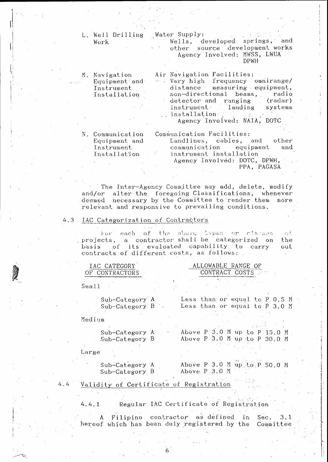| L. Well Drilling            | Water Supply:                                                  |
|-----------------------------|----------------------------------------------------------------|
| Work                        | Wells, developed springs, and                                  |
|                             | other source development works                                 |
|                             | Agency Involved: MWSS, LWUA<br>DPWH                            |
| M. Navigation               | Air Navigation Facilities:                                     |
| Equipment and               | - Very high frequency omnirange/                               |
| Instrument                  | distance measuring equipment,                                  |
| Installation                | non-directional beams, radio                                   |
|                             | detector and ranging (radar)                                   |
|                             | instrument landing systems                                     |
|                             | $\therefore$ installation $\therefore$                         |
|                             | Agency Involved: NAIA, DOTC                                    |
|                             |                                                                |
| N. Communication            | Communication Facilities:                                      |
| Equipment and<br>Instrument | Landlines, cables, and other<br>communication equipment<br>and |
| Installation                | instrument installation                                        |
|                             | Agency Involved: DOTC, DPWH,                                   |
|                             | PPA, PAGASA                                                    |
|                             |                                                                |

The Inter-Agency Committee may add, delete, modify and/or alter the foregoing Classifications, whenever deemed necessary by the Committee to render them more relevant and responsive to prevailing conditions.

#### IAC Categorization of Contractors 4.3

For each of the above types or classes  $\cap$  f projects, a contractor shall be categorized on<br>basis of its evaluated capability to carry the out contracts of different costs, as follows:

IAC CATEGORY OF CONTRACTORS

# ALLOWABLE RANGE OF CONTRACT COSTS

 $Small$ 

Sub-Category A Sub-Category B

Less than or equal to P.O.5 M Less than or equal to P 3.0 M

Medium

Sub-Category A Sub-Category B Above P 3.0 M up to P 15.0 M Above P 3.0 M up to P 30.0 M

Large

Sub-Category A Sub-Category B

Above P 3.0 M up to P 50.0 M Above P 3.0 M

#### $4.4$ Validity of Certificate of Registration

Regular IAC Certificate of Registration  $4.4.1$ 

A Filipino contractor as defined in  $3.1$ Sec. hereof which has been duly registered by the Committee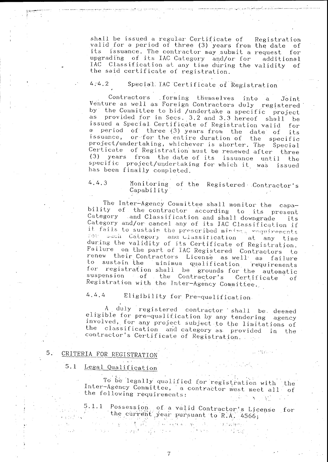shall be issued a regular Certificate of Registration valid for a period of three (3) years from the date of its issuance. The contractor may submit a request for upgrading of its IAC Category and/or for additional IAC Classification at any time during the validity of the said certificate of registration.

### $4 - 4.2$ Special IAC Certificate of Registration

Contractors forming themselves into a Joint Venture as well as Foreign Contractors duly registered by the Committee to bid /undertake a specific project as provided for in Secs. 3.2 and 3.3 hereof shall be issued a Special Certificate of Registration valid for a period of three (3) years from the date of its or for the entire duration of the specific issuance, project/undertaking, whichever is shorter. The Special Certicate of Registration must be renewed after three  $(3)$  years from the date of its issuance until  $-$  the specific project/undertaking for which it was issued has been finally completed.

 $4.4.3$ Monitoring of the Registered Contractor's Capability

The Inter-Agency Committee shall monitor the capability of the contractor according to its present Category and Classification and shall downgrade its Category and/or cancel any of its IAC Classification if it fails to sustain the prescribed minimum requirements For such Category and Classification at any time during the validity of its Certificate of Registration. Failure on the part of IAC Registered Contractors to renew their Contractors License as well as failure to sustain the minimum qualification requirements for registration shall be grounds for the automatic suspension of the Contractor's Certificate оf Registration with the Inter-Agency Committee.

 $4, 4, 4$ Eligibility for Pre-qualification.

A. duly registered contractor shall be deemed eligible for pre-qualification by any tendering agency involved, for any project subject to the limitations of the classification and category as provided in the contractor's Certificate of Registration,

### $5.$ CRITERIA FOR REGISTRATION

#### $5.1$ Legal Qualification

To be legally qualified for registration with the Inter-Agency Committee, a contractor must meet all of the following requirements:  $\mathbf{y} = \mathbf{y} \mathbf{y}$ 

5.1.1 Possession of a valid Contractor's License for<br>the current year pursuant to R.A. 4566;  $\mathcal{F}^{\mathcal{M}}_{\mathcal{M}}$  , where  $\label{eq:2} \begin{split} \mathcal{L}^{(1)}&=\mathcal{L}^{(1)}+\mathcal{L}^{(1)}+\mathcal{L}^{(2)}\\ \mathcal{L}^{(1)}&=\sum_{i=1}^{n}(-1)^{i}\mathcal{L}^{(1)}\end{split}$ in Sergen<br>De fan de St

 $\label{eq:2} \mathcal{L}^{\mathcal{A}}_{\mathcal{A}}\left(\mathcal{A}^{\mathcal{A}}_{\mathcal{A}}\right)=\mathcal{L}^{\mathcal{A}}_{\mathcal{A}}\left(\mathcal{A}^{\mathcal{A}}_{\mathcal{A}}\right)=\mathcal{L}^{\mathcal{A}}_{\mathcal{A}}\left(\mathcal{A}^{\mathcal{A}}_{\mathcal{A}}\right)$ 

 $\label{eq:2.1} \mathcal{L}(\mathcal{L}_{\mathcal{A}}) = \mathcal{L}(\mathcal{L}_{\mathcal{A}}) \otimes \mathcal{L}(\mathcal{L}_{\mathcal{A}})$ a construct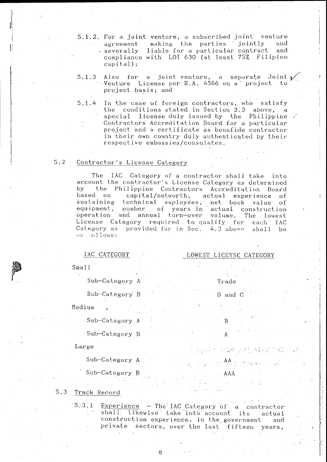- 5.1.2. For a joint venture, a subscribed joint venture making the parties jointly agreement and severally liable for a particular contract and compliance with LOI 630 (at least 75% Filipino capital);
- 5.1.3 Also for a joint venture, a separate Joint  $\nu$ Venture License per R.A. 4566 on a project to project basis; and
- In the case of foreign contractors, who satisfy  $5, 1, 4$ the conditions stated in Section 3.3 above, a special license duly issued by the Philippine Contractors Accreditation Board for a particular project and a certificate as bonafide contractor in their own country duly authenticated by their respective embassies/consulates.

#### $5.2$ Contractor's License Category

The IAC Category of a contractor shall take into account the contractor's License Category as determined the Philippine Contractors Accreditation Board bv. based on capital/networth, actual experience of sustaining technical employees, net book value of equipment, number of years in actual construction<br>operation and annual turn-over volume. The lowest License Category required to qualify for each IAC Category as provided for in Sec. 4.3 above shall be es Follows:

LOWEST LICENSE CATEGORY

Trade

 $\mathbf{B}$ 

1710 207 317

 $\mathbf{A}$   $\mathbf{A}$   $\mathbf{A}$   $\mathbf{A}$   $\mathbf{A}$   $\mathbf{A}$   $\mathbf{A}$ 

AAA

D and C

# IAC CATEGORY

- $\mathcal{N}=\mathcal{N}$ 
	- Sub-Category A

Sub-Category B

Medium

Sub-Category A Sub-Category B

## Large

 $Small$ 

Sub-Category A

Sub-Category B

5.3 Track Record

Experience - The IAC Category of a contractor<br>shall likewise take into account its actual  $5.3.1$ construction experience, in the government and private sectors, over the last fifteen years,

 $\mathsf{A}$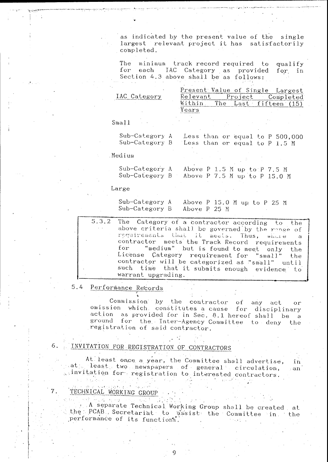as indicated by the present value of the single largest relevant project it has satisfactorily completed.

minimum track record required to The qualify for each IAC Category as provided for in Section 4.3 above shall be as follows:

|              |          |         | Present Value of Single Largest |
|--------------|----------|---------|---------------------------------|
| IAC Category | Relevant | Project | Completed                       |
|              |          |         | The Last fifteen (15)           |
|              | íears    |         |                                 |
|              |          |         |                                 |
| Smal         |          |         |                                 |

| Sub-Category A Less than or equal to P 500,000 |                                   |  |  |
|------------------------------------------------|-----------------------------------|--|--|
| Sub-Category B                                 | Less than or equal to $P_1, 5, M$ |  |  |

Medium

Sub-Category A Above P 1.5 M up to P 7.5 M  $Sub-Category B$ Above P 7.5 M up to P 15.0 M

Large

Above P 15.0 M up to P 25 M Sub-Category A Sub-Category B Above P 25 M

The Category of a contractor according to  $5.3.2$ the above criteria shall be governed by the range of requirements that it meets. Thus, which e  $\ddot{a}$ contractor meets the Track Record requirements "medium" but is found to meet only for the License Category requirement for "small" the contractor will be categorized as "small" until such time that it submits enough evidence to warrant upgrading.

# 5.4 Performance Records

Commission by the contractor of any act  $or$ omission which constitutes a cause for disciplinary action as provided for in Sec. 8.1 hereof shall be a ground for the Inter-Agency Committee to deny the registration of said contractor.

6. INVITATION FOR REGISTRATION OF CONTRACTORS

At least once a year, the Committee shall advertise, in  $\mathsf{sat}_{\text{free}}$  least, two newspapers of general circulation, – an i scinvitation for registration to interested contractors.  $\label{eq:2} \mathbb{E} \left[ \mathbb{E} \left[ \mathbb{E} \left[ \mathbb{E} \left[ \mathbb{E} \left[ \mathbb{E} \left[ \mathbb{E} \left[ \mathbb{E} \left[ \mathbb{E} \left[ \mathbb{E} \left[ \mathbb{E} \left[ \mathbb{E} \left[ \mathbb{E} \left[ \mathbb{E} \left[ \mathbb{E} \left[ \mathbb{E} \left[ \mathbb{E} \left[ \mathbb{E} \left[ \mathbb{E} \left[ \mathbb{E} \left[ \mathbb{E} \left[ \mathbb{E} \left[ \mathbb{E} \left[ \mathbb{E}$  $\mathcal{L}(\mathcal{L}(\mathcal{L}(\mathcal{L}(\mathcal{L}(\mathcal{L}(\mathcal{L}(\mathcal{L}(\mathcal{L}(\mathcal{L}(\mathcal{L}(\mathcal{L}(\mathcal{L}(\mathcal{L}(\mathcal{L}(\mathcal{L}(\mathcal{L}(\mathcal{L}(\mathcal{L}(\mathcal{L}(\mathcal{L}(\mathcal{L}(\mathcal{L}(\mathcal{L}(\mathcal{L}(\mathcal{L}(\mathcal{L}(\mathcal{L}(\mathcal{L}(\mathcal{L}(\mathcal{L}(\mathcal{L}(\mathcal{L}(\mathcal{L}(\mathcal{L}(\mathcal{L}(\mathcal{$ 

# TECHNICAL WORKING GROUP 7.

人名英格兰人姓氏 化硫酸 网络复数 网络小说 A separate Technical Working Group shall be created at the PCAB Secretariat to assist the Committee in the performance of its functions.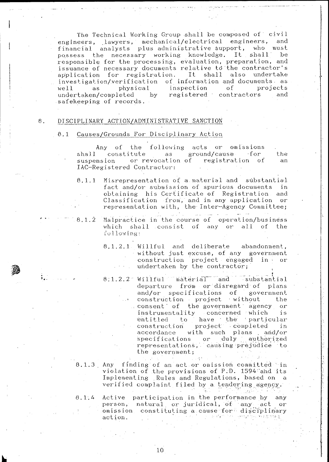The Technical Working Group shall be composed of civil engineers, lawyers, mechanical/electrical engineers, and financial analysts plus administrative support, who must possess the necessary working knowledge. It shall be responsible for the processing, evaluation, preparation, and issuance of necessary documents relative to the contractor's application for registration. It shall also undertake of information and documents. as investigation/verification inspection  $\sigma$ f projects  $we11$ as. physical undertaken/completed  $_{\rm by}$ registered contractors and safekeeping of records.

#### $8$  . DISCIPLINARY ACTION/ADMINISTRATIVE SANCTION

#### $8.1$ Causes/Grounds For Disciplinary Action

Any of the following acts or omissions constitute as ground/cause for shall the suspension or revocation of registration of  $an$ IAC-Registered Contractor:

Misrepresentation of a material and substantial  $8.1.1$ fact and/or submission of spurious documents in obtaining his Certificate of Registration and Classification from, and in any application or representation with, the Inter-Agency Committee;

Malpractice in the course of operation/business  $8.1.\overline{2}$ which shall consist of any or all of the following:

> Willful and deliberate abandonment,<br>without just excuse, of any government  $8.1.2.1$ construction project engaged in or undertaken by the contractor;

> 8.1.2.2 Willful material and substantial departure from or disregard of plans and/or specifications of government construction project without the consent of the government agency or instrumentality concerned which is entitled to have the particular<br>construction project completed in<br>accordance with such plans and/or specifications or duly authorized<br>representations, causing prejudice to the government;

> > الكافر والمراكب

8.1.3 Any finding of an act or omission committed in violation of the provisions of P.D. 1594 and its Implementing Rules and Regulations, based on a verified complaint filed by a tendering agency.

Active participation in the performance by any  $8.1,4$ person, natural or juridical, of any act or omission constituting a cause for disciplinary action.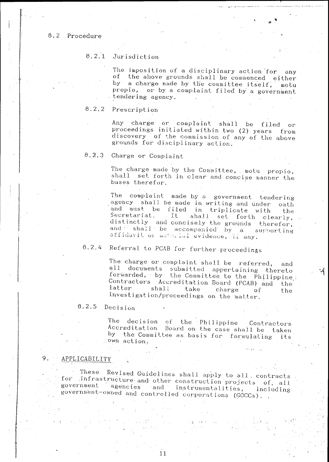# 8.2 Procedure

#### $8, 2, 1$ Jurisdiction

The imposition of a disciplinary action for any of the above grounds shall be commenced either by a charge made by the committee itself, motu propio, or by a complaint filed by a government tendering agency.

#### $8.2.2$ Prescription

Any charge or complaint shall be filed or proceedings initiated within two (2) years from discovery of the commission of any of the above grounds for disciplinary action.

#### $8, 2, 3$ Charge or Complaint

The charge made by the Committee, motu propio, shall set forth in clear and concise manner the bases therefor.

The complaint made by a government tendering agency shall be made in writing and under oath and must be filed in triplicate with the Secretariat. It shall set forth clearly, distinctly and concisely the grounds therefor, and shall be accompanied by a supporting affidavit or material evidence, ii any.

## $8.2.4$ Referral to PCAB for further proceedings

The charge or complaint shall be referred, and all documents submitted appertaining thereto forwarded, by the Committee to the Philippine: Contractors Accreditation Board (PCAB) and the latter shall take charge  $\sigma$ f the investigation/proceedings on the matter.

ंडू

#### $8.2.5$ Decision

The decision of the Philippine Contractors Accreditation Board on the case shall be taken by the Committee as basis for formulating its ..own action.

#### $\mathsf{Q}$ APPLICABILITY

These Revised Guidelines shall apply to all. contracts for infrastructure and other construction projects of, all government agencies and instrumentalities, including government-owned and controlled corporations (GOCCs).

 $11$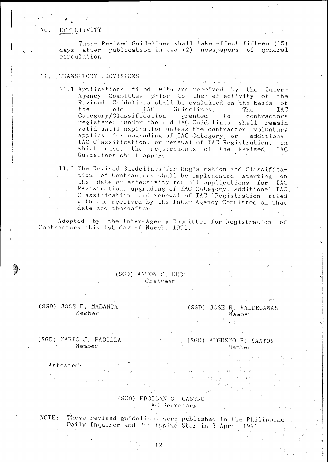# EFFECTIVITY

These Revised Guidelines shall take effect fifteen (15) days after publication in two (2) newspapers of general circulation.

#### 11. TRANSITORY PROVISIONS

- 11.1 Applications filed with and received by the Inter-Agency Committee prior to the effectivity of the<br>Revised Guidelines shall be evaluated on the basis of the old Guidelines. TAC -**TAC** The Category/Classification granted  $t_{0}$ contractors registered under the old IAC Guidelines shall remain valid until expiration unless the contractor voluntary applies for upgrading of IAC Category, or additional IAC Classification, or renewal of IAC Registration, in which case, the requirements of the Revised **IAC** Guidelines shall apply.
- 11.2 The Revised Guidelines for Registration and Classification of Contractors shall be implemented starting on the date of effectivity for all applications for IAC Registration, upgrading of IAC Category, additional IAC Classification and renewal of IAC Registration filed with and received by the Inter-Agency Committee on that date and thereafter.

Adopted by the Inter-Agency Committee for Registration of Contractors this 1st day of March, 1991.

# $(SGD)$  ANTON C. KHO Chairman

(SGD) JOSE F. MABANTA Member

# (SGD) JOSE R. VALDECANAS Member

(SGD) MARIO J. PADILLA Member

(SGD) AUGUSTO B. SANTOS Member

Attested:

# (SGD) FROILAN S. CASTRO IAC Secretary

These revised guidelines were published in the Philippine NOTE: Daily Inquirer and Philippine Star in 8 April 1991.

 $12$ 

10.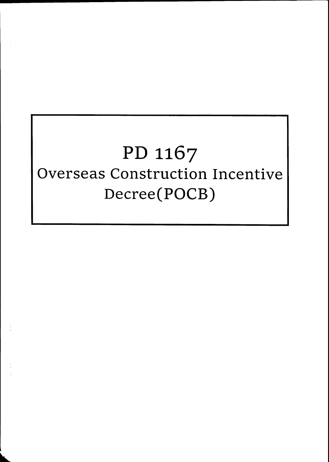# PD 1167 Overseas Construction Incentive Decree(POCB)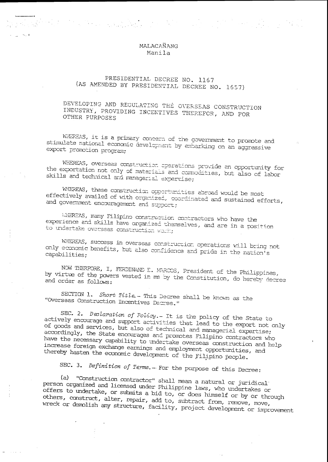# MALACANANG Manila

# PRESIDENTIAL DECREE NO. 1167 (AS AMENDED BY PRESIDENTIAL DECREE NO. 1657)

# DEVELOPING AND REGULATING THE OVERSEAS CONSTRUCTION INDUSTRY, PROVIDING INCENTIVES THEREFOR, AND FOR OTHER PURPOSES

WHEREAS, it is a primary concern of the government to promote and stimulate national economic development by embarking on an aggressive export promotion program;

WHEREAS, overseas construction operations provide an opportunity for the exportation not only of materials and commodities, but also of labor skills and technical and managerial expertise;

WHEREAS, these construction opportunities abroad would be most effectively availed of with organized, coordinated and sustained efforts, and government encouragement and support;

WHEREAS, many Filipino construction contractors who have the experience and skills have organized themselves, and are in a position to undertake overseas construction work;

WHEREAS, success in overseas construction operations will bring not only economic benefits, but also confidence and pride in the nation's capabilities;

NOW THERFORE, I, FERDINAND E. MARCOS, President of the Philippines, by virtue of the powers vested in me by the Constitution, do hereby decree and order as follows:

SECTION 1. Short Title - This Decree shall be known as the "Overseas Construction Incentives Decree."

SEC. 2. Declaration of Policy.- It is the policy of the State to actively encourage and support activities that lead to the export not only of goods and services, but also of technical and managerial expertise; accordingly, the State encourages and promotes Filipino contractors who have the necessary capability to undertake overseas construction and help increase foreign exchange earnings and employment opportunities, and thereby hasten the economic development of the Filipino people.

SEC. 3. Definition of Terms. - For the purpose of this Decree:

(a) "Construction contractor" shall mean a natural or juridical" person organized and licensed under Philippine laws, who undertakes or offers to undertake, or submits a bid to, or does himself or by or through others, construct, alter, repair, add to, subtract from, remove, move, wreck or demolish any structure, facility, project development or improvement